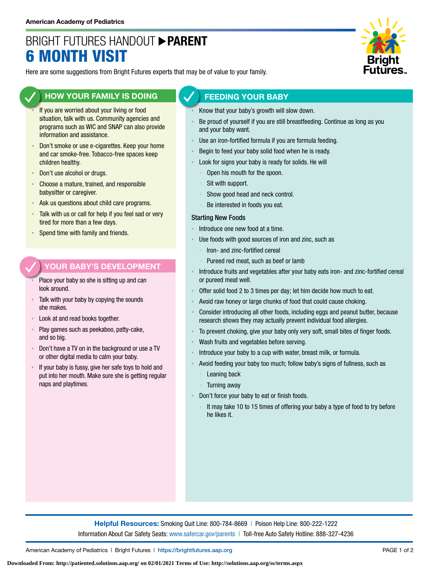# BRIGHT FUTURES HANDOUT **PARENT** 6 MONTH VISIT



Here are some suggestions from Bright Futures experts that may be of value to your family.

### **HOW YOUR FAMILY IS DOING**

- If you are worried about your living or food situation, talk with us. Community agencies and programs such as WIC and SNAP can also provide information and assistance.
- Don't smoke or use e-cigarettes. Keep your home and car smoke-free. Tobacco-free spaces keep children healthy.
- Don't use alcohol or drugs.
- **EXPLO** Choose a mature, trained, and responsible babysitter or caregiver.
- Ask us questions about child care programs.
- Talk with us or call for help if you feel sad or very tired for more than a few days.
- Spend time with family and friends.

#### **YOUR BABY'S DEVELOPMENT**

- Place your baby so she is sitting up and can look around.
- Talk with your baby by copying the sounds she makes.
- Look at and read books together.
- Play games such as peekaboo, patty-cake, and so big.
- Don't have a TV on in the background or use a TV or other digital media to calm your baby.
- If your baby is fussy, give her safe toys to hold and put into her mouth. Make sure she is getting regular naps and playtimes.

#### **FEEDING YOUR BABY**

- Know that your baby's growth will slow down.
- Be proud of yourself if you are still breastfeeding. Continue as long as you and your baby want.
- Use an iron-fortified formula if you are formula feeding.
- Begin to feed your baby solid food when he is ready.
- Look for signs your baby is ready for solids. He will
	- Open his mouth for the spoon.
	- Sit with support.
	- Show good head and neck control.
	- Be interested in foods you eat.

#### Starting New Foods

- Introduce one new food at a time.
- Use foods with good sources of iron and zinc, such as
	- Iron- and zinc-fortified cereal
	- Pureed red meat, such as beef or lamb
- Introduce fruits and vegetables after your baby eats iron- and zinc-fortified cereal or pureed meat well.
- Offer solid food 2 to 3 times per day; let him decide how much to eat.
- Avoid raw honey or large chunks of food that could cause choking.
- Consider introducing all other foods, including eggs and peanut butter, because research shows they may actually prevent individual food allergies.
- To prevent choking, give your baby only very soft, small bites of finger foods.
- Wash fruits and vegetables before serving.
- Introduce your baby to a cup with water, breast milk, or formula.
- Avoid feeding your baby too much; follow baby's signs of fullness, such as Leaning back
	- Turning away
- Don't force your baby to eat or finish foods.
	- It may take 10 to 15 times of offering your baby a type of food to try before he likes it.

**Helpful Resources:** Smoking Quit Line: 800-784-8669 | Poison Help Line: 800-222-1222 Information About Car Safety Seats: [www.safercar.gov/parents](https://www.nhtsa.gov/parents-and-caregivers) | Toll-free Auto Safety Hotline: 888-327-4236

American Academy of Pediatrics | Bright Futures | https:/[/brightfutures.aap.org](https://brightfutures.aap.org/Pages/default.aspx) PAGE 1 of 2